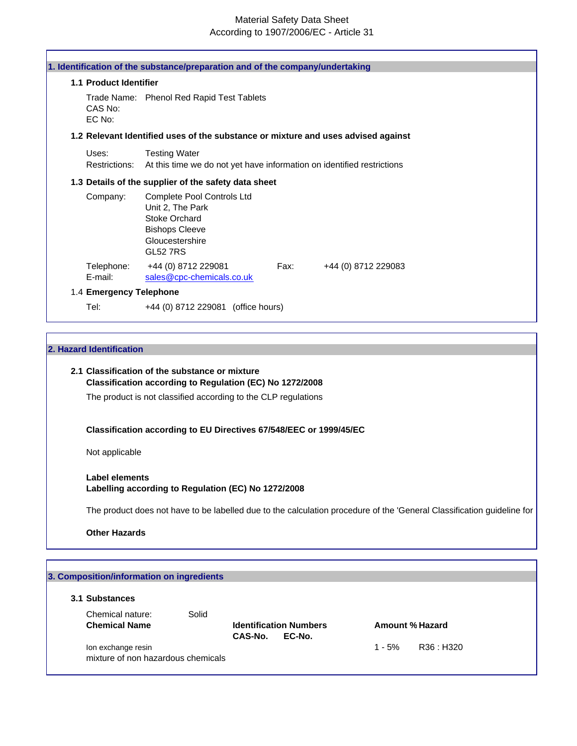# Material Safety Data Sheet According to 1907/2006/EC - Article 31

| 1.1 Product Identifier  |                                                                                                                                       |      |                     |  |
|-------------------------|---------------------------------------------------------------------------------------------------------------------------------------|------|---------------------|--|
| CAS No:<br>EC No:       | Trade Name: Phenol Red Rapid Test Tablets                                                                                             |      |                     |  |
|                         | 1.2 Relevant Identified uses of the substance or mixture and uses advised against                                                     |      |                     |  |
| Uses:<br>Restrictions:  | <b>Testing Water</b><br>At this time we do not yet have information on identified restrictions                                        |      |                     |  |
|                         | 1.3 Details of the supplier of the safety data sheet                                                                                  |      |                     |  |
| Company:                | Complete Pool Controls Ltd<br>Unit 2, The Park<br><b>Stoke Orchard</b><br><b>Bishops Cleeve</b><br>Gloucestershire<br><b>GL52 7RS</b> |      |                     |  |
| Telephone:<br>E-mail:   | +44 (0) 8712 229081<br>sales@cpc-chemicals.co.uk                                                                                      | Fax: | +44 (0) 8712 229083 |  |
| 1.4 Emergency Telephone |                                                                                                                                       |      |                     |  |

# **2. Hazard Identification**

# **2.1 Classification of the substance or mixture Classification according to Regulation (EC) No 1272/2008**

The product is not classified according to the CLP regulations

# **Classification according to EU Directives 67/548/EEC or 1999/45/EC**

Not applicable

## **Label elements Labelling according to Regulation (EC) No 1272/2008**

The product does not have to be labelled due to the calculation procedure of the 'General Classification guideline for

**Other Hazards**

| 3.1 Substances       |       |         |                               |          |                 |
|----------------------|-------|---------|-------------------------------|----------|-----------------|
|                      |       |         |                               |          |                 |
| Chemical nature:     | Solid |         |                               |          |                 |
| <b>Chemical Name</b> |       |         | <b>Identification Numbers</b> |          | Amount % Hazard |
|                      |       | CAS-No. | EC-No.                        |          |                 |
| Ion exchange resin   |       |         |                               | $1 - 5%$ | R36 : H320      |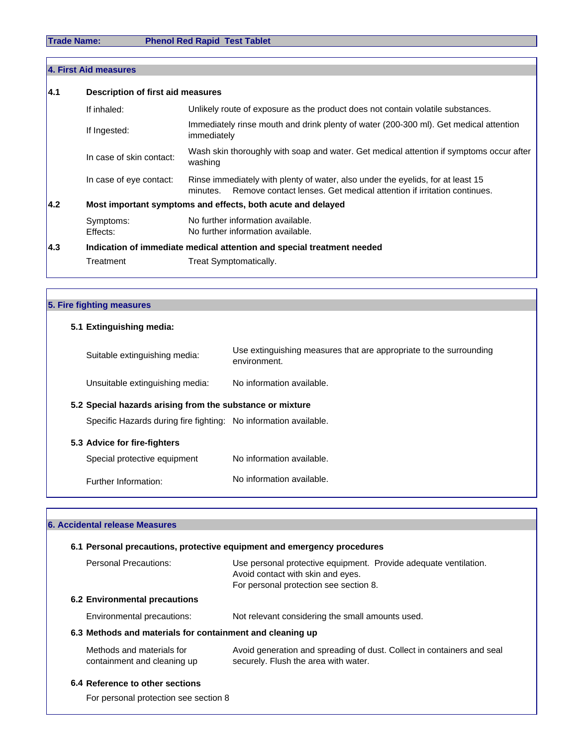Г

**Trade Name: Phenol Red Rapid Test Tablet**

|                                                                     |            | 4. First Aid measures             |                                                                                                                                                                      |  |
|---------------------------------------------------------------------|------------|-----------------------------------|----------------------------------------------------------------------------------------------------------------------------------------------------------------------|--|
|                                                                     | <b>4.1</b> | Description of first aid measures |                                                                                                                                                                      |  |
|                                                                     |            | If inhaled:                       | Unlikely route of exposure as the product does not contain volatile substances.                                                                                      |  |
|                                                                     |            | If Ingested:                      | Immediately rinse mouth and drink plenty of water (200-300 ml). Get medical attention<br>immediately                                                                 |  |
|                                                                     |            | In case of skin contact:          | Wash skin thoroughly with soap and water. Get medical attention if symptoms occur after<br>washing                                                                   |  |
|                                                                     |            | In case of eye contact:           | Rinse immediately with plenty of water, also under the eyelids, for at least 15<br>Remove contact lenses. Get medical attention if irritation continues.<br>minutes. |  |
| I4.2<br>Most important symptoms and effects, both acute and delayed |            |                                   |                                                                                                                                                                      |  |
|                                                                     |            | Symptoms:<br>Effects:             | No further information available.<br>No further information available.                                                                                               |  |
|                                                                     | l4.3       |                                   | Indication of immediate medical attention and special treatment needed                                                                                               |  |
|                                                                     |            | Treatment                         | Treat Symptomatically.                                                                                                                                               |  |

# **5. Fire fighting measures**

# **5.1 Extinguishing media:**

| Suitable extinguishing media:                                    | Use extinguishing measures that are appropriate to the surrounding<br>environment. |
|------------------------------------------------------------------|------------------------------------------------------------------------------------|
| Unsuitable extinguishing media:                                  | No information available.                                                          |
| 5.2 Special hazards arising from the substance or mixture        |                                                                                    |
| Specific Hazards during fire fighting: No information available. |                                                                                    |
| 5.3 Advice for fire-fighters                                     |                                                                                    |
| Special protective equipment                                     | No information available.                                                          |
| Further Information:                                             | No information available.                                                          |

# **6. Accidental release Measures**

# **6.1 Personal precautions, protective equipment and emergency procedures**

| Personal Precautions:                                     | Use personal protective equipment. Provide adequate ventilation.<br>Avoid contact with skin and eyes.<br>For personal protection see section 8. |
|-----------------------------------------------------------|-------------------------------------------------------------------------------------------------------------------------------------------------|
| <b>6.2 Environmental precautions</b>                      |                                                                                                                                                 |
| Environmental precautions:                                | Not relevant considering the small amounts used.                                                                                                |
| 6.3 Methods and materials for containment and cleaning up |                                                                                                                                                 |
| Methods and materials for<br>containment and cleaning up  | Avoid generation and spreading of dust. Collect in containers and seal<br>securely. Flush the area with water.                                  |
| 6.4 Reference to other sections                           |                                                                                                                                                 |

For personal protection see section 8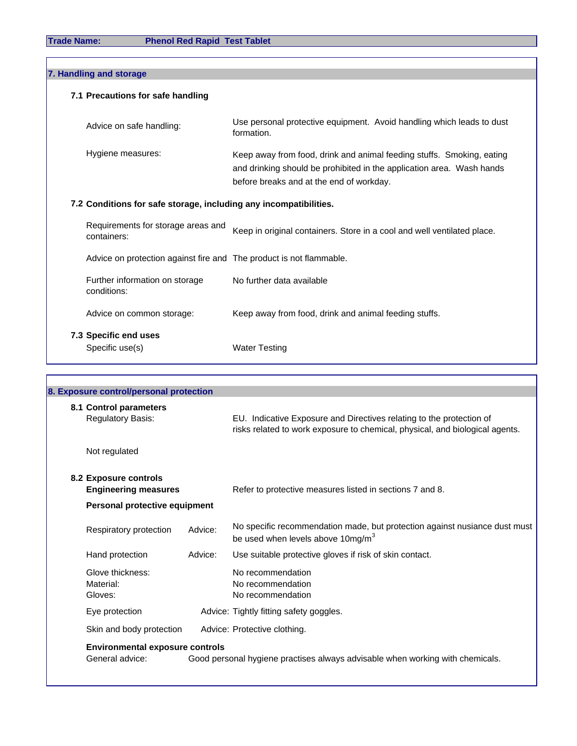**Trade Name: Phenol Red Rapid Test Tablet**

| 7. Handling and storage                                             |                                                                                                                                                                                            |
|---------------------------------------------------------------------|--------------------------------------------------------------------------------------------------------------------------------------------------------------------------------------------|
| 7.1 Precautions for safe handling                                   |                                                                                                                                                                                            |
| Advice on safe handling:                                            | Use personal protective equipment. Avoid handling which leads to dust<br>formation.                                                                                                        |
| Hygiene measures:                                                   | Keep away from food, drink and animal feeding stuffs. Smoking, eating<br>and drinking should be prohibited in the application area. Wash hands<br>before breaks and at the end of workday. |
| 7.2 Conditions for safe storage, including any incompatibilities.   |                                                                                                                                                                                            |
| Requirements for storage areas and<br>containers:                   | Keep in original containers. Store in a cool and well ventilated place.                                                                                                                    |
| Advice on protection against fire and The product is not flammable. |                                                                                                                                                                                            |
| Further information on storage<br>conditions:                       | No further data available                                                                                                                                                                  |
| Advice on common storage:                                           | Keep away from food, drink and animal feeding stuffs.                                                                                                                                      |
| 7.3 Specific end uses                                               |                                                                                                                                                                                            |
|                                                                     |                                                                                                                                                                                            |

| 8. Exposure control/personal protection              |         |                                                                                                                            |
|------------------------------------------------------|---------|----------------------------------------------------------------------------------------------------------------------------|
| 8.1 Control parameters<br><b>Regulatory Basis:</b>   |         | EU. Indicative Exposure and Directives relating to the protection of                                                       |
|                                                      |         | risks related to work exposure to chemical, physical, and biological agents.                                               |
| Not regulated                                        |         |                                                                                                                            |
| 8.2 Exposure controls<br><b>Engineering measures</b> |         | Refer to protective measures listed in sections 7 and 8.                                                                   |
| Personal protective equipment                        |         |                                                                                                                            |
| Respiratory protection                               | Advice: | No specific recommendation made, but protection against nusiance dust must<br>be used when levels above $10 \text{mg/m}^3$ |
| Hand protection                                      | Advice: | Use suitable protective gloves if risk of skin contact.                                                                    |
| Glove thickness:                                     |         | No recommendation                                                                                                          |
| Material:<br>Gloves:                                 |         | No recommendation<br>No recommendation                                                                                     |
| Eye protection                                       |         | Advice: Tightly fitting safety goggles.                                                                                    |
| Skin and body protection                             |         | Advice: Protective clothing.                                                                                               |
| <b>Environmental exposure controls</b>               |         |                                                                                                                            |
| General advice:                                      |         | Good personal hygiene practises always advisable when working with chemicals.                                              |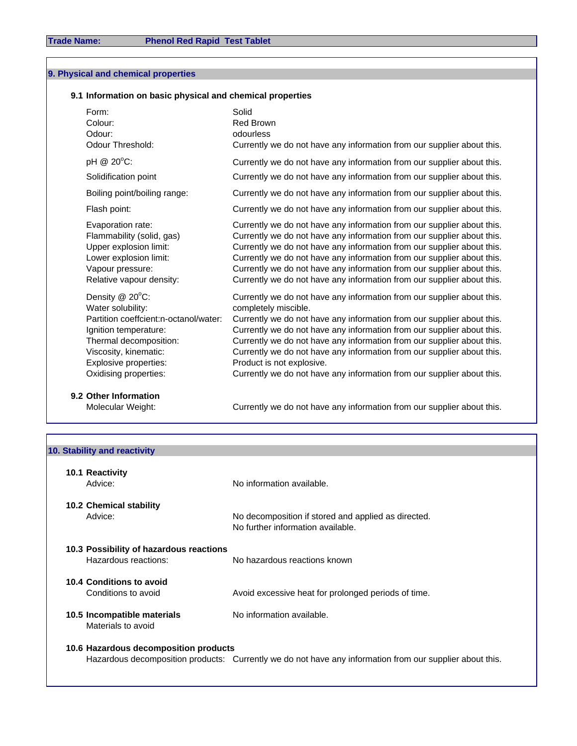# **9. Physical and chemical properties**

# **9.1 Information on basic physical and chemical properties**

| Form:<br>Colour:<br>Odour:<br>Odour Threshold:                                                                                                                                                                    | Solid<br><b>Red Brown</b><br>odourless<br>Currently we do not have any information from our supplier about this.                                                                                                                                                                                                                                                                                                                                                                                              |
|-------------------------------------------------------------------------------------------------------------------------------------------------------------------------------------------------------------------|---------------------------------------------------------------------------------------------------------------------------------------------------------------------------------------------------------------------------------------------------------------------------------------------------------------------------------------------------------------------------------------------------------------------------------------------------------------------------------------------------------------|
| pH @ 20°C:                                                                                                                                                                                                        | Currently we do not have any information from our supplier about this.                                                                                                                                                                                                                                                                                                                                                                                                                                        |
| Solidification point                                                                                                                                                                                              | Currently we do not have any information from our supplier about this.                                                                                                                                                                                                                                                                                                                                                                                                                                        |
| Boiling point/boiling range:                                                                                                                                                                                      | Currently we do not have any information from our supplier about this.                                                                                                                                                                                                                                                                                                                                                                                                                                        |
| Flash point:                                                                                                                                                                                                      | Currently we do not have any information from our supplier about this.                                                                                                                                                                                                                                                                                                                                                                                                                                        |
| Evaporation rate:<br>Flammability (solid, gas)<br>Upper explosion limit:<br>Lower explosion limit:<br>Vapour pressure:<br>Relative vapour density:                                                                | Currently we do not have any information from our supplier about this.<br>Currently we do not have any information from our supplier about this.<br>Currently we do not have any information from our supplier about this.<br>Currently we do not have any information from our supplier about this.<br>Currently we do not have any information from our supplier about this.<br>Currently we do not have any information from our supplier about this.                                                      |
| Density $@$ 20 $°C$ :<br>Water solubility:<br>Partition coeffcient:n-octanol/water:<br>Ignition temperature:<br>Thermal decomposition:<br>Viscosity, kinematic:<br>Explosive properties:<br>Oxidising properties: | Currently we do not have any information from our supplier about this.<br>completely miscible.<br>Currently we do not have any information from our supplier about this.<br>Currently we do not have any information from our supplier about this.<br>Currently we do not have any information from our supplier about this.<br>Currently we do not have any information from our supplier about this.<br>Product is not explosive.<br>Currently we do not have any information from our supplier about this. |
| 9.2 Other Information                                                                                                                                                                                             |                                                                                                                                                                                                                                                                                                                                                                                                                                                                                                               |

Molecular Weight: Currently we do not have any information from our supplier about this.

| 10. Stability and reactivity            |                                                                                                          |
|-----------------------------------------|----------------------------------------------------------------------------------------------------------|
|                                         |                                                                                                          |
| 10.1 Reactivity                         |                                                                                                          |
| Advice:                                 | No information available.                                                                                |
| <b>10.2 Chemical stability</b>          |                                                                                                          |
| Advice:                                 | No decomposition if stored and applied as directed.                                                      |
|                                         | No further information available.                                                                        |
|                                         |                                                                                                          |
| 10.3 Possibility of hazardous reactions |                                                                                                          |
| Hazardous reactions:                    | No hazardous reactions known                                                                             |
| 10.4 Conditions to avoid                |                                                                                                          |
| Conditions to avoid                     | Avoid excessive heat for prolonged periods of time.                                                      |
| 10.5 Incompatible materials             | No information available.                                                                                |
| Materials to avoid                      |                                                                                                          |
|                                         |                                                                                                          |
| 10.6 Hazardous decomposition products   |                                                                                                          |
|                                         | Hazardous decomposition products: Currently we do not have any information from our supplier about this. |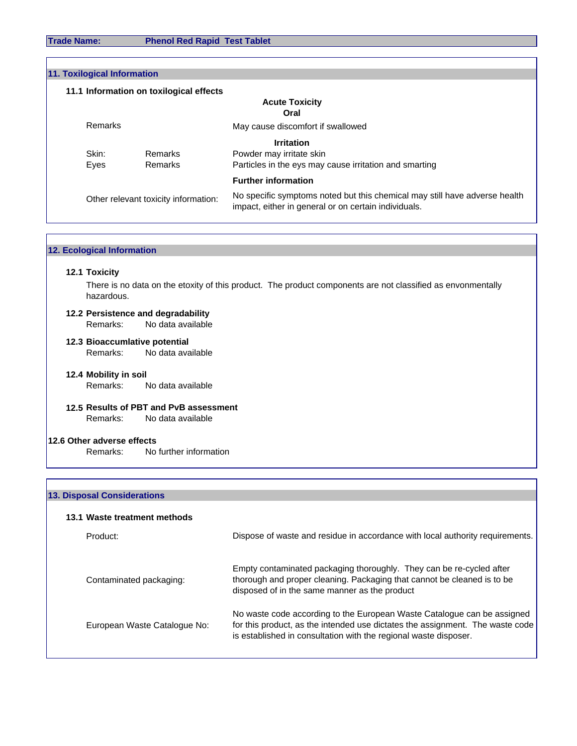**Trade Name: Phenol Red Rapid Test Tablet**

| <b>11. Toxilogical Information</b>   |         |                                         |                                                                                                                                    |  |
|--------------------------------------|---------|-----------------------------------------|------------------------------------------------------------------------------------------------------------------------------------|--|
|                                      |         | 11.1 Information on toxilogical effects |                                                                                                                                    |  |
|                                      |         |                                         | <b>Acute Toxicity</b><br>Oral                                                                                                      |  |
|                                      | Remarks |                                         | May cause discomfort if swallowed                                                                                                  |  |
|                                      |         |                                         | <b>Irritation</b>                                                                                                                  |  |
|                                      | Skin:   | Remarks                                 | Powder may irritate skin                                                                                                           |  |
|                                      | Eyes    | Remarks                                 | Particles in the eys may cause irritation and smarting                                                                             |  |
|                                      |         |                                         | <b>Further information</b>                                                                                                         |  |
| Other relevant toxicity information: |         |                                         | No specific symptoms noted but this chemical may still have adverse health<br>impact, either in general or on certain individuals. |  |

|  | <b>12. Ecological Information</b> |
|--|-----------------------------------|
|--|-----------------------------------|

#### **12.1 Toxicity**

hazardous. There is no data on the etoxity of this product. The product components are not classified as envonmentally

# **12.2 Persistence and degradability**

Remarks: No data available

- **12.3 Bioaccumlative potential** Remarks: No data available
- **12.4 Mobility in soil** Remarks: No data available
- **12.5 Results of PBT and PvB assessment** Remarks: No data available

# **12.6 Other adverse effects**

Remarks: No further information

## **13. Disposal Considerations**

### **13.1 Waste treatment methods**

| Product:                     | Dispose of waste and residue in accordance with local authority requirements.                                                                                                                                                |
|------------------------------|------------------------------------------------------------------------------------------------------------------------------------------------------------------------------------------------------------------------------|
| Contaminated packaging:      | Empty contaminated packaging thoroughly. They can be re-cycled after<br>thorough and proper cleaning. Packaging that cannot be cleaned is to be<br>disposed of in the same manner as the product                             |
| European Waste Catalogue No: | No waste code according to the European Waste Catalogue can be assigned<br>for this product, as the intended use dictates the assignment. The waste code<br>is established in consultation with the regional waste disposer. |